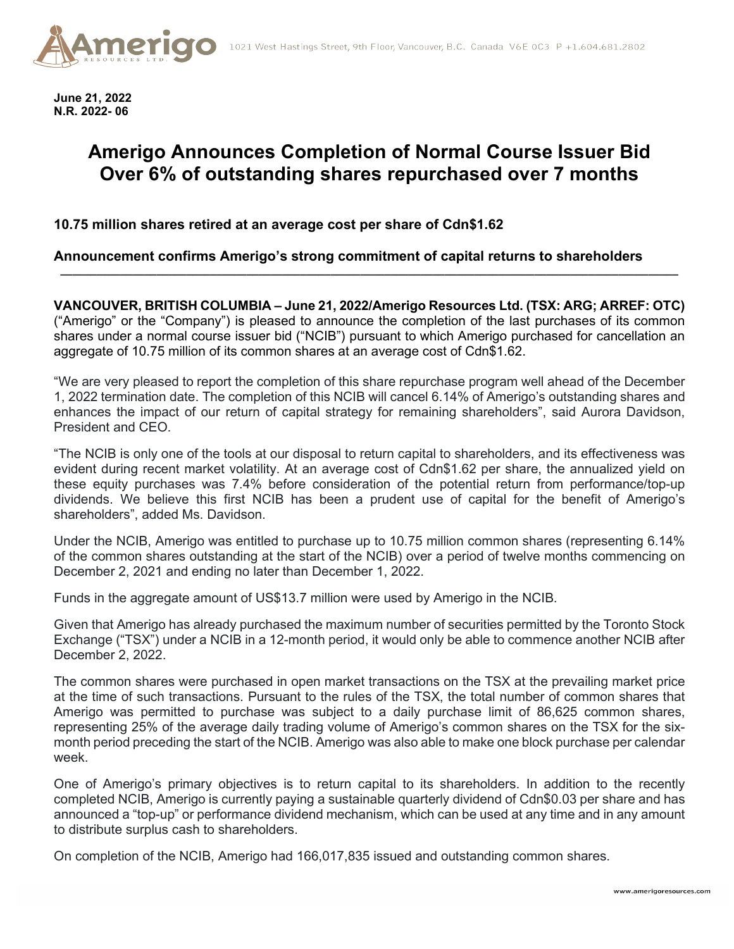

**June 21, 2022 N.R. 2022- 06**

## **Amerigo Announces Completion of Normal Course Issuer Bid Over 6% of outstanding shares repurchased over 7 months**

**10.75 million shares retired at an average cost per share of Cdn\$1.62**

**Announcement confirms Amerigo's strong commitment of capital returns to shareholders**

**VANCOUVER, BRITISH COLUMBIA – June 21, 2022/Amerigo Resources Ltd. (TSX: ARG; ARREF: OTC)**  ("Amerigo" or the "Company") is pleased to announce the completion of the last purchases of its common shares under a normal course issuer bid ("NCIB") pursuant to which Amerigo purchased for cancellation an aggregate of 10.75 million of its common shares at an average cost of Cdn\$1.62.

**\_\_\_\_\_\_\_\_\_\_\_\_\_\_\_\_\_\_\_\_\_\_\_\_\_\_\_\_\_\_\_\_\_\_\_\_\_\_\_\_\_\_\_\_\_\_\_\_\_\_\_\_\_\_\_\_\_\_\_\_\_\_\_\_\_\_\_\_\_\_\_\_\_\_\_\_\_\_\_\_\_\_\_\_\_\_\_\_\_\_\_\_\_\_\_\_\_\_\_\_\_\_\_**

"We are very pleased to report the completion of this share repurchase program well ahead of the December 1, 2022 termination date. The completion of this NCIB will cancel 6.14% of Amerigo's outstanding shares and enhances the impact of our return of capital strategy for remaining shareholders", said Aurora Davidson, President and CEO.

"The NCIB is only one of the tools at our disposal to return capital to shareholders, and its effectiveness was evident during recent market volatility. At an average cost of Cdn\$1.62 per share, the annualized yield on these equity purchases was 7.4% before consideration of the potential return from performance/top-up dividends. We believe this first NCIB has been a prudent use of capital for the benefit of Amerigo's shareholders", added Ms. Davidson.

Under the NCIB, Amerigo was entitled to purchase up to 10.75 million common shares (representing 6.14% of the common shares outstanding at the start of the NCIB) over a period of twelve months commencing on December 2, 2021 and ending no later than December 1, 2022.

Funds in the aggregate amount of US\$13.7 million were used by Amerigo in the NCIB.

Given that Amerigo has already purchased the maximum number of securities permitted by the Toronto Stock Exchange ("TSX") under a NCIB in a 12-month period, it would only be able to commence another NCIB after December 2, 2022.

The common shares were purchased in open market transactions on the TSX at the prevailing market price at the time of such transactions. Pursuant to the rules of the TSX, the total number of common shares that Amerigo was permitted to purchase was subject to a daily purchase limit of 86,625 common shares, representing 25% of the average daily trading volume of Amerigo's common shares on the TSX for the sixmonth period preceding the start of the NCIB. Amerigo was also able to make one block purchase per calendar week.

One of Amerigo's primary objectives is to return capital to its shareholders. In addition to the recently completed NCIB, Amerigo is currently paying a sustainable quarterly dividend of Cdn\$0.03 per share and has announced a "top-up" or performance dividend mechanism, which can be used at any time and in any amount to distribute surplus cash to shareholders.

On completion of the NCIB, Amerigo had 166,017,835 issued and outstanding common shares.